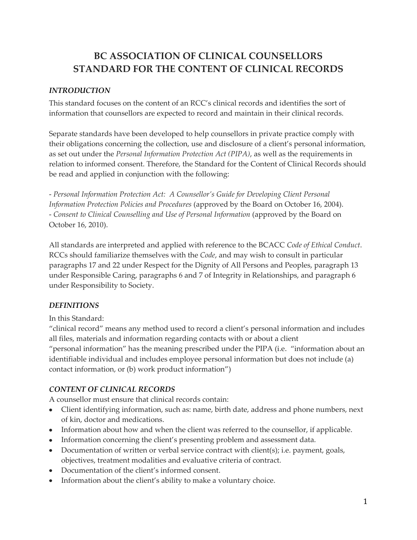# **BC ASSOCIATION OF CLINICAL COUNSELLORS STANDARD FOR THE CONTENT OF CLINICAL RECORDS**

### *INTRODUCTION*

This standard focuses on the content of an RCC's clinical records and identifies the sort of information that counsellors are expected to record and maintain in their clinical records.

Separate standards have been developed to help counsellors in private practice comply with their obligations concerning the collection, use and disclosure of a client's personal information, as set out under the *Personal Information Protection Act (PIPA)*, as well as the requirements in relation to informed consent. Therefore, the Standard for the Content of Clinical Records should be read and applied in conjunction with the following:

- *Personal Information Protection Act: A Counsellor's Guide for Developing Client Personal Information Protection Policies and Procedures* (approved by the Board on October 16, 2004). - *Consent to Clinical Counselling and Use of Personal Information* (approved by the Board on October 16, 2010).

All standards are interpreted and applied with reference to the BCACC *Code of Ethical Conduct*. RCCs should familiarize themselves with the *Code*, and may wish to consult in particular paragraphs 17 and 22 under Respect for the Dignity of All Persons and Peoples, paragraph 13 under Responsible Caring, paragraphs 6 and 7 of Integrity in Relationships, and paragraph 6 under Responsibility to Society.

## *DEFINITIONS*

In this Standard:

"clinical record" means any method used to record a client's personal information and includes all files, materials and information regarding contacts with or about a client "personal information" has the meaning prescribed under the PIPA (i.e. "information about an identifiable individual and includes employee personal information but does not include (a) contact information, or (b) work product information")

#### *CONTENT OF CLINICAL RECORDS*

A counsellor must ensure that clinical records contain:

- Client identifying information, such as: name, birth date, address and phone numbers, next of kin, doctor and medications.
- Information about how and when the client was referred to the counsellor, if applicable.
- Information concerning the client's presenting problem and assessment data.
- Documentation of written or verbal service contract with client(s); i.e. payment, goals, objectives, treatment modalities and evaluative criteria of contract.
- Documentation of the client's informed consent.
- Information about the client's ability to make a voluntary choice.